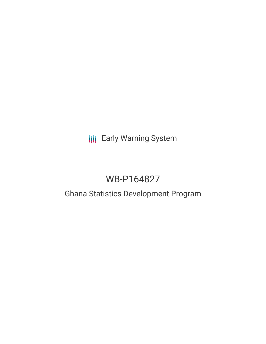# **III** Early Warning System

# WB-P164827

### Ghana Statistics Development Program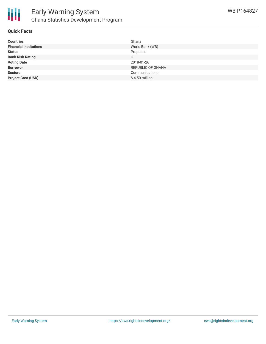

#### **Quick Facts**

| <b>Countries</b>              | Ghana             |
|-------------------------------|-------------------|
| <b>Financial Institutions</b> | World Bank (WB)   |
| <b>Status</b>                 | Proposed          |
| <b>Bank Risk Rating</b>       | С                 |
| <b>Voting Date</b>            | 2018-01-26        |
| <b>Borrower</b>               | REPUBLIC OF GHANA |
| <b>Sectors</b>                | Communications    |
| <b>Project Cost (USD)</b>     | $$4.50$ million   |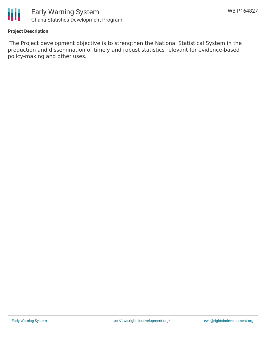

#### **Project Description**

The Project development objective is to strengthen the National Statistical System in the production and dissemination of timely and robust statistics relevant for evidence-based policy-making and other uses.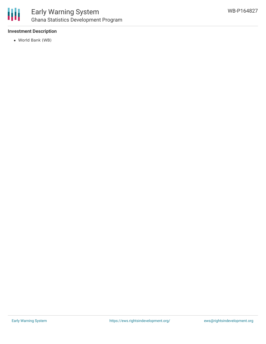

### Early Warning System Ghana Statistics Development Program

#### **Investment Description**

World Bank (WB)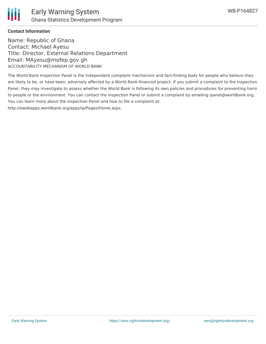

#### **Contact Information**

Name: Republic of Ghana Contact: Michael Ayesu Title: Director, External Relations Department Email: MAyesu@mofep.gov.gh ACCOUNTABILITY MECHANISM OF WORLD BANK

The World Bank Inspection Panel is the independent complaint mechanism and fact-finding body for people who believe they are likely to be, or have been, adversely affected by a World Bank-financed project. If you submit a complaint to the Inspection Panel, they may investigate to assess whether the World Bank is following its own policies and procedures for preventing harm to people or the environment. You can contact the Inspection Panel or submit a complaint by emailing ipanel@worldbank.org. You can learn more about the Inspection Panel and how to file a complaint at: http://ewebapps.worldbank.org/apps/ip/Pages/Home.aspx.